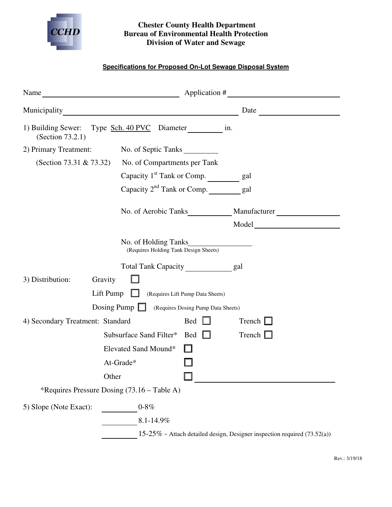

## **Chester County Health Department Bureau of Environmental Health Protection Division of Water and Sewage**

## **Specifications for Proposed On-Lot Sewage Disposal System**

|                                                                                 | Name $\_\_\_\_\_\_\_$ Application # $\_\_\_\_\_\_\_\_\_\_$ |                                                                                                                                                                                                                                |                                                                          |  |  |  |  |
|---------------------------------------------------------------------------------|------------------------------------------------------------|--------------------------------------------------------------------------------------------------------------------------------------------------------------------------------------------------------------------------------|--------------------------------------------------------------------------|--|--|--|--|
|                                                                                 |                                                            |                                                                                                                                                                                                                                | Municipality Date Date Date                                              |  |  |  |  |
| 1) Building Sewer: Type Sch. 40 PVC Diameter __________ in.<br>(Section 73.2.1) |                                                            |                                                                                                                                                                                                                                |                                                                          |  |  |  |  |
| 2) Primary Treatment:                                                           | No. of Septic Tanks                                        |                                                                                                                                                                                                                                |                                                                          |  |  |  |  |
| (Section 73.31 & 73.32)                                                         | No. of Compartments per Tank                               |                                                                                                                                                                                                                                |                                                                          |  |  |  |  |
|                                                                                 | Capacity 1 <sup>st</sup> Tank or Comp. _________ gal       |                                                                                                                                                                                                                                |                                                                          |  |  |  |  |
|                                                                                 | Capacity 2 <sup>nd</sup> Tank or Comp. _________ gal       |                                                                                                                                                                                                                                |                                                                          |  |  |  |  |
|                                                                                 |                                                            | No. of Aerobic Tanks Manufacturer Manufacturer Manufacturer Manufacturer Manufacturer Manufacturer Manufacturer Manufacturer Manufacturer Manufacturer Manufacturer Manufacturer Manufacturer Manufacturer Manufacturer Manufa |                                                                          |  |  |  |  |
|                                                                                 |                                                            |                                                                                                                                                                                                                                | Model                                                                    |  |  |  |  |
| No. of Holding Tanks<br>(Requires Holding Tank Design Sheets)                   |                                                            |                                                                                                                                                                                                                                |                                                                          |  |  |  |  |
|                                                                                 | Total Tank Capacity ____________ gal                       |                                                                                                                                                                                                                                |                                                                          |  |  |  |  |
| 3) Distribution:<br>Gravity                                                     |                                                            |                                                                                                                                                                                                                                |                                                                          |  |  |  |  |
| Lift Pump $\Box$<br>(Requires Lift Pump Data Sheets)                            |                                                            |                                                                                                                                                                                                                                |                                                                          |  |  |  |  |
| Dosing Pump $\Box$                                                              | (Requires Dosing Pump Data Sheets)                         |                                                                                                                                                                                                                                |                                                                          |  |  |  |  |
| 4) Secondary Treatment: Standard                                                |                                                            | $\text{Bed}$ $\Box$                                                                                                                                                                                                            | Trench $\Box$                                                            |  |  |  |  |
|                                                                                 | Subsurface Sand Filter*                                    | $\text{Bed}$ $\Box$                                                                                                                                                                                                            | Trench $\Box$                                                            |  |  |  |  |
|                                                                                 | Elevated Sand Mound*                                       |                                                                                                                                                                                                                                |                                                                          |  |  |  |  |
|                                                                                 | At-Grade*                                                  |                                                                                                                                                                                                                                |                                                                          |  |  |  |  |
| Other                                                                           |                                                            |                                                                                                                                                                                                                                |                                                                          |  |  |  |  |
| *Requires Pressure Dosing (73.16 – Table A)                                     |                                                            |                                                                                                                                                                                                                                |                                                                          |  |  |  |  |
| 5) Slope (Note Exact):                                                          | $0 - 8\%$<br>8.1-14.9%                                     |                                                                                                                                                                                                                                | 15-25% - Attach detailed design, Designer inspection required (73.52(a)) |  |  |  |  |